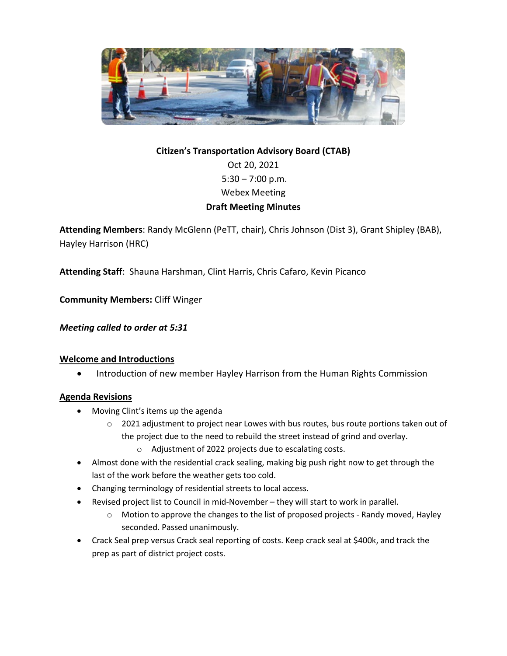

# **Citizen's Transportation Advisory Board (CTAB)** Oct 20, 2021  $5:30 - 7:00$  p.m. Webex Meeting **Draft Meeting Minutes**

**Attending Members**: Randy McGlenn (PeTT, chair), Chris Johnson (Dist 3), Grant Shipley (BAB), Hayley Harrison (HRC)

**Attending Staff**: Shauna Harshman, Clint Harris, Chris Cafaro, Kevin Picanco

**Community Members:** Cliff Winger

*Meeting called to order at 5:31*

### **Welcome and Introductions**

• Introduction of new member Hayley Harrison from the Human Rights Commission

### **Agenda Revisions**

- Moving Clint's items up the agenda
	- $\circ$  2021 adjustment to project near Lowes with bus routes, bus route portions taken out of the project due to the need to rebuild the street instead of grind and overlay.
		- o Adjustment of 2022 projects due to escalating costs.
- Almost done with the residential crack sealing, making big push right now to get through the last of the work before the weather gets too cold.
- Changing terminology of residential streets to local access.
- Revised project list to Council in mid-November they will start to work in parallel.
	- o Motion to approve the changes to the list of proposed projects Randy moved, Hayley seconded. Passed unanimously.
- Crack Seal prep versus Crack seal reporting of costs. Keep crack seal at \$400k, and track the prep as part of district project costs.